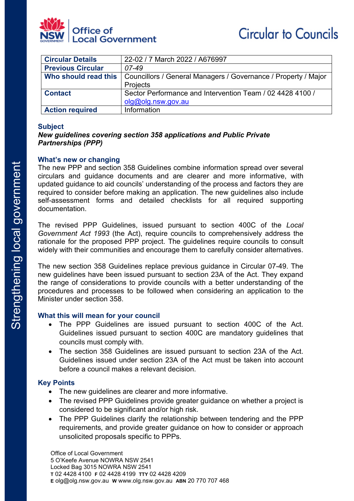

| <b>Circular Details</b>  | 22-02 / 7 March 2022 / A676997                                 |
|--------------------------|----------------------------------------------------------------|
| <b>Previous Circular</b> | 07-49                                                          |
| Who should read this     | Councillors / General Managers / Governance / Property / Major |
|                          | Projects                                                       |
| <b>Contact</b>           | Sector Performance and Intervention Team / 02 4428 4100 /      |
|                          | olg@olg.nsw.gov.au                                             |
| <b>Action required</b>   | Information                                                    |

### **Subject**

# *New guidelines covering section 358 applications and Public Private Partnerships (PPP)*

### **What's new or changing**

The new PPP and section 358 Guidelines combine information spread over several circulars and guidance documents and are clearer and more informative, with updated guidance to aid councils' understanding of the process and factors they are required to consider before making an application. The new guidelines also include self-assessment forms and detailed checklists for all required supporting documentation.

The revised PPP Guidelines, issued pursuant to section 400C of the *Local Government Act 1993* (the Act), require councils to comprehensively address the rationale for the proposed PPP project. The guidelines require councils to consult widely with their communities and encourage them to carefully consider alternatives.

The new section 358 Guidelines replace previous guidance in Circular 07-49. The new guidelines have been issued pursuant to section 23A of the Act. They expand the range of considerations to provide councils with a better understanding of the procedures and processes to be followed when considering an application to the Minister under section 358.

### **What this will mean for your council**

- The PPP Guidelines are issued pursuant to section 400C of the Act. Guidelines issued pursuant to section 400C are mandatory guidelines that councils must comply with.
- The section 358 Guidelines are issued pursuant to section 23A of the Act. Guidelines issued under section 23A of the Act must be taken into account before a council makes a relevant decision.

# **Key Points**

- The new guidelines are clearer and more informative.
- The revised PPP Guidelines provide greater guidance on whether a project is considered to be significant and/or high risk.
- The PPP Guidelines clarify the relationship between tendering and the PPP requirements, and provide greater guidance on how to consider or approach unsolicited proposals specific to PPPs.

Office of Local Government 5 O'Keefe Avenue NOWRA NSW 2541 Locked Bag 3015 NOWRA NSW 2541 **T** 02 4428 4100 **F** 02 4428 4199 **TTY** 02 4428 4209 **E** olg@olg.nsw.gov.au **W** www.olg.nsw.gov.au **ABN** 20 770 707 468